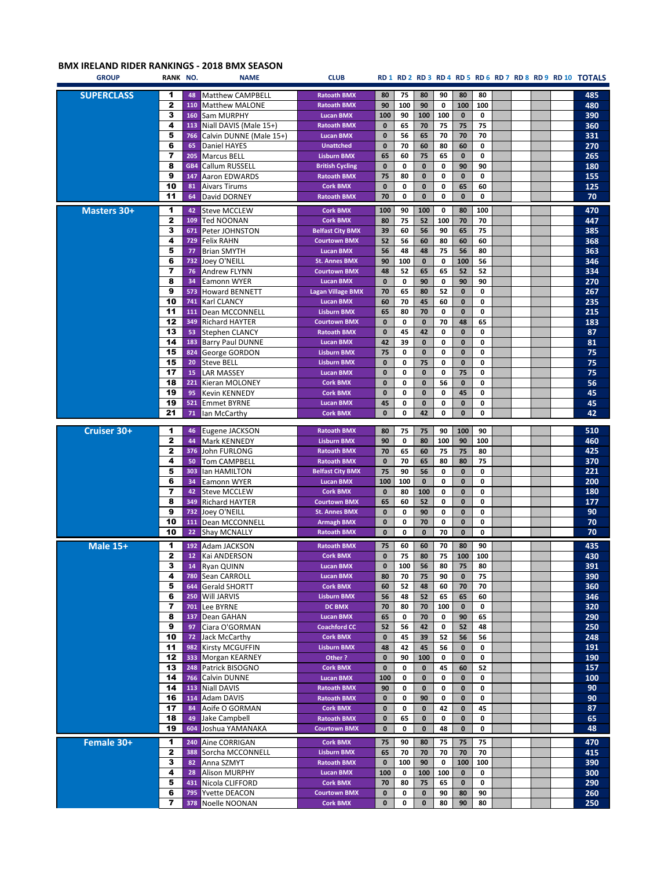## **BMX IRELAND RIDER RANKINGS - 2018 BMX SEASON**

| <b>GROUP</b>       | RANK NO.             |                 | <b>NAME</b>                             | <b>CLUB</b>                  |                |          |              |             |                  |             |  |  | RD1 RD2 RD3 RD4 RD5 RD6 RD7 RD8 RD9 RD10 TOTALS |
|--------------------|----------------------|-----------------|-----------------------------------------|------------------------------|----------------|----------|--------------|-------------|------------------|-------------|--|--|-------------------------------------------------|
| <b>SUPERCLASS</b>  | 1                    | 48              | Matthew CAMPBELL                        | <b>Ratoath BMX</b>           | 80             | 75       | 80           | 90          | 80               | 80          |  |  | 485                                             |
|                    | $\mathbf{2}$         | 110             | <b>Matthew MALONE</b>                   | <b>Ratoath BMX</b>           | 90             | 100      | 90           | 0           | 100              | 100         |  |  | 480                                             |
|                    | 3                    | 160             | Sam MURPHY                              | <b>Lucan BMX</b>             | 100            | 90       | 100          | 100         | $\mathbf 0$      | 0           |  |  | 390                                             |
|                    | 4                    |                 | 113 Niall DAVIS (Male 15+)              | <b>Ratoath BMX</b>           | 0              | 65       | 70           | 75          | 75               | 75          |  |  | 360                                             |
|                    | 5                    | 766             | Calvin DUNNE (Male 15+)                 | <b>Lucan BMX</b>             | $\bf{0}$       | 56       | 65           | 70          | 70               | 70          |  |  | 331                                             |
|                    | 6                    | 65              | Daniel HAYES                            | <b>Unattched</b>             | 0              | 70       | 60           | 80          | 60               | 0           |  |  | 270                                             |
|                    | 7                    | 205             | <b>Marcus BELL</b>                      | <b>Lisburn BMX</b>           | 65             | 60       | 75           | 65          | $\bf{0}$         | 0           |  |  | 265                                             |
|                    | 8                    | GB4             | Callum RUSSELL                          | <b>British Cycling</b>       | $\bf{0}$       | 0        | $\pmb{0}$    | 0           | 90               | 90          |  |  | 180                                             |
|                    | 9                    | 147             | Aaron EDWARDS                           | <b>Ratoath BMX</b>           | 75             | 80       | $\pmb{0}$    | 0           | $\mathbf{0}$     | 0           |  |  | 155                                             |
|                    | 10                   | 81              | <b>Aivars Tirums</b>                    | <b>Cork BMX</b>              | $\mathbf{0}$   | 0        | $\mathbf{0}$ | 0           | 65               | 60          |  |  | 125                                             |
|                    | 11                   | 64              | David DORNEY                            | <b>Ratoath BMX</b>           | 70             | 0        | $\pmb{0}$    | $\mathbf 0$ | $\mathbf{0}$     | $\mathbf 0$ |  |  | 70                                              |
| <b>Masters 30+</b> | 1                    | 42              | <b>Steve MCCLEW</b>                     | <b>Cork BMX</b>              | 100            | 90       | 100          | 0           | 80               | 100         |  |  | 470                                             |
|                    | $\mathbf{2}$         | 109             | <b>Ted NOONAN</b>                       | <b>Cork BMX</b>              | 80             | 75       | 52           | 100         | 70               | 70          |  |  | 447                                             |
|                    | 3                    |                 | 671 Peter JOHNSTON                      | <b>Belfast City BMX</b>      | 39             | 60       | 56           | 90          | 65               | 75          |  |  | 385                                             |
|                    | 4                    | 729             | <b>Felix RAHN</b>                       | <b>Courtown BMX</b>          | 52             | 56       | 60           | 80          | 60               | 60          |  |  | 368                                             |
|                    | 5                    | 77              | <b>Brian SMYTH</b>                      | <b>Lucan BMX</b>             | 56             | 48       | 48           | 75          | 56               | 80          |  |  | 363                                             |
|                    | 6                    | 732             | Joey O'NEILL                            | <b>St. Annes BMX</b>         | 90             | 100      | $\bf{0}$     | 0           | 100              | 56          |  |  | 346                                             |
|                    | 7                    | 76              | Andrew FLYNN                            | <b>Courtown BMX</b>          | 48             | 52       | 65           | 65          | 52               | 52          |  |  | 334                                             |
|                    | 8                    | 34              | Eamonn WYER                             | <b>Lucan BMX</b>             | $\bf{0}$       | 0        | 90           | 0           | 90               | 90          |  |  | 270                                             |
|                    | 9                    | 573             | <b>Howard BENNETT</b>                   | <b>Lagan Village BMX</b>     | 70             | 65       | 80           | 52          | 0                | 0           |  |  | 267                                             |
|                    | 10                   | 741             | Karl CLANCY                             | <b>Lucan BMX</b>             | 60             | 70       | 45           | 60          | 0                | 0           |  |  | 235                                             |
|                    | 11                   | 111             | Dean MCCONNELL                          | <b>Lisburn BMX</b>           | 65             | 80       | 70           | 0           | $\mathbf{0}$     | 0           |  |  | 215                                             |
|                    | 12                   | 349             | Richard HAYTER                          | <b>Courtown BMX</b>          | $\mathbf{0}$   | 0        | $\mathbf 0$  | 70          | 48               | 65          |  |  | 183                                             |
|                    | 13                   | 53              | <b>Stephen CLANCY</b>                   | <b>Ratoath BMX</b>           | $\mathbf{0}$   | 45       | 42           | 0           | $\mathbf{0}$     | 0           |  |  | 87                                              |
|                    | 14                   | 183             | <b>Barry Paul DUNNE</b>                 | <b>Lucan BMX</b>             | 42             | 39       | $\pmb{0}$    | 0           | $\mathbf 0$      | 0           |  |  | 81                                              |
|                    | 15                   | 824             | George GORDON                           | <b>Lisburn BMX</b>           | 75             | 0        | $\bf{0}$     | 0           | $\mathbf 0$      | 0           |  |  | 75                                              |
|                    | 15                   | 20              | <b>Steve BELL</b>                       | <b>Lisburn BMX</b>           | 0              | 0        | 75           | 0           | $\mathbf 0$      | 0           |  |  | 75                                              |
|                    | 17                   | 15              | <b>LAR MASSEY</b>                       | <b>Lucan BMX</b>             | $\mathbf{0}$   | 0        | $\mathbf 0$  | 0           | 75               | 0           |  |  | 75                                              |
|                    | 18                   | 221             | Kieran MOLONEY                          | <b>Cork BMX</b>              | $\mathbf{0}$   | 0        | $\pmb{0}$    | 56          | $\bf{0}$         | 0           |  |  | 56                                              |
|                    | 19                   | 95              | Kevin KENNEDY                           | <b>Cork BMX</b>              | $\mathbf{0}$   | 0        | $\bf{0}$     | 0           | 45               | 0           |  |  | 45                                              |
|                    | 19                   | 521             | <b>Emmet BYRNE</b>                      | <b>Lucan BMX</b>             | 45             | 0        | $\bf{0}$     | 0           | 0                | 0           |  |  | 45                                              |
|                    | 21                   | 71              | Ian McCarthy                            | <b>Cork BMX</b>              | $\bf{0}$       | 0        | 42           | 0           | 0                | 0           |  |  | 42                                              |
| Cruiser 30+        | 1                    | 46              | Eugene JACKSON                          | <b>Ratoath BMX</b>           | 80             | 75       | 75           | 90          | 100              | 90          |  |  | 510                                             |
|                    | $\mathbf{2}$         | 44              | Mark KENNEDY                            | <b>Lisburn BMX</b>           | 90             | 0        | 80           | 100         | 90               | 100         |  |  | 460                                             |
|                    | $\mathbf{2}$         | 376             | John FURLONG                            | <b>Ratoath BMX</b>           | 70             | 65       | 60           | 75          | 75               | 80          |  |  | 425                                             |
|                    | 4                    | 50              | <b>Tom CAMPBELL</b>                     | <b>Ratoath BMX</b>           | $\bf{0}$       | 70       | 65           | 80          | 80               | 75          |  |  | 370                                             |
|                    | 5                    | 303             | Ian HAMILTON                            | <b>Belfast City BMX</b>      | 75             | 90       | 56           | 0           | $\mathbf{0}$     | $\mathbf 0$ |  |  | 221                                             |
|                    | 6                    | 34              | Eamonn WYER                             | <b>Lucan BMX</b>             | 100            | 100      | $\mathbf 0$  | 0           | $\mathbf 0$      | 0           |  |  | 200                                             |
|                    | $\overline{7}$       | 42              | <b>Steve MCCLEW</b>                     | <b>Cork BMX</b>              | 0              | 80       | 100          | 0           | $\mathbf{0}$     | 0           |  |  | 180                                             |
|                    | 8                    | 349             | <b>Richard HAYTER</b>                   | <b>Courtown BMX</b>          | 65             | 60       | 52           | 0           | 0                | 0           |  |  | 177                                             |
|                    | 9                    | 732             | Joey O'NEILL                            | <b>St. Annes BMX</b>         | $\bf{0}$       | 0        | 90           | 0           | 0                | 0           |  |  | 90                                              |
|                    | 10                   | 111             | <b>Dean MCCONNELL</b>                   | <b>Armagh BMX</b>            | $\bf{0}$       | 0        | 70           | 0           | 0                | 0           |  |  | 70                                              |
|                    | 10                   | 22              | Shay MCNALLY                            | <b>Ratoath BMX</b>           | $\bf{0}$       | 0        | $\pmb{0}$    | 70          | 0                | 0           |  |  | 70                                              |
| <b>Male 15+</b>    | 1                    | 192             | Adam JACKSON                            | <b>Ratoath BMX</b>           | 75             | 60       | 60           | 70          | 80               | 90          |  |  | 435                                             |
|                    | $\mathbf{z}$         | 12 <sub>1</sub> | Kai ANDERSON                            | <b>Cork BMX</b>              | $\mathbf{0}$   | 75       | 80           | 75          | 100              | 100         |  |  | 430                                             |
|                    | з                    |                 | 14 Ryan QUINN                           | Lucan BMX                    | 0              | 100      | 56           | 80          | 75               | 80          |  |  | 391                                             |
|                    | 4                    | 780             | Sean CARROLL                            | <b>Lucan BMX</b>             | 80             | 70       | 75           | 90          | $\bf{0}$         | 75          |  |  | 390                                             |
|                    | 5                    | 644             | <b>Gerald SHORTT</b>                    | <b>Cork BMX</b>              | 60             | 52       | 48           | 60          | 70               | 70          |  |  | 360                                             |
|                    | 6                    |                 | 250 Will JARVIS                         | <b>Lisburn BMX</b>           | 56             | 48       | 52           | 65          | 65               | 60          |  |  | 346                                             |
|                    | 7                    | 701             | Lee BYRNE                               | <b>DC BMX</b>                | 70             | 80       | 70           | 100         | $\mathbf 0$      | 0           |  |  | 320                                             |
|                    | 8                    | 137             | Dean GAHAN                              | <b>Lucan BMX</b>             | 65             | 0        | 70           | 0           | 90               | 65          |  |  | 290                                             |
|                    | 9                    | 97              | Ciara O'GORMAN                          | <b>Coachford CC</b>          | 52             | 56       | 42           | 0           | 52               | 48          |  |  | 250                                             |
|                    | 10<br>11             | 72<br>982       | Jack McCarthy<br><b>Kirsty MCGUFFIN</b> | <b>Cork BMX</b>              | $\bf{0}$       | 45       | 39           | 52          | 56               | 56          |  |  | 248                                             |
|                    | 12                   |                 | 333 Morgan KEARNEY                      | <b>Lisburn BMX</b><br>Other? | 48<br>$\bf{0}$ | 42<br>90 | 45<br>100    | 56<br>0     | 0<br>$\mathbf 0$ | 0<br>0      |  |  | 191<br>190                                      |
|                    | 13                   | 248             | Patrick BISOGNO                         | <b>Cork BMX</b>              | $\mathbf{0}$   | 0        | $\bf{0}$     | 45          | 60               | 52          |  |  | 157                                             |
|                    | 14                   | 766             | Calvin DUNNE                            | <b>Lucan BMX</b>             | 100            | 0        | $\bf{0}$     | 0           | 0                | 0           |  |  | 100                                             |
|                    | 14                   |                 | 113 Niall DAVIS                         | <b>Ratoath BMX</b>           | 90             | 0        | $\bf{0}$     | 0           | $\mathbf 0$      | 0           |  |  | 90                                              |
|                    | 16                   |                 | 114 Adam DAVIS                          | <b>Ratoath BMX</b>           | $\bf{0}$       | 0        | 90           | 0           | $\mathbf 0$      | 0           |  |  | 90                                              |
|                    | 17                   | 84              | Aoife O GORMAN                          | <b>Cork BMX</b>              | $\bf{0}$       | 0        | $\bf{0}$     | 42          | $\mathbf 0$      | 45          |  |  | 87                                              |
|                    | 18                   | 49              | Jake Campbell                           | <b>Ratoath BMX</b>           | $\bf{0}$       | 65       | $\bf{0}$     | 0           | $\mathbf 0$      | 0           |  |  | 65                                              |
|                    | 19                   | 604             | Joshua YAMANAKA                         | <b>Courtown BMX</b>          | $\bf{0}$       | 0        | $\bf{0}$     | 48          | $\mathbf 0$      | 0           |  |  | 48                                              |
| Female 30+         | $\blacktriangleleft$ | 240             | Aine CORRIGAN                           | <b>Cork BMX</b>              | 75             | 90       | 80           | 75          | 75               | 75          |  |  | 470                                             |
|                    | $\mathbf{z}$         | 388             | Sorcha MCCONNELL                        | <b>Lisburn BMX</b>           | 65             | 70       | 70           | 70          | 70               | 70          |  |  | 415                                             |
|                    | 3                    | 82              | Anna SZMYT                              | <b>Ratoath BMX</b>           | 0              | 100      | 90           | 0           | 100              | 100         |  |  | 390                                             |
|                    | 4                    | 28              | <b>Alison MURPHY</b>                    | <b>Lucan BMX</b>             | 100            | 0        | 100          | 100         | 0                | 0           |  |  | 300                                             |
|                    | 5                    | 431             | Nicola CLIFFORD                         | <b>Cork BMX</b>              | 70             | 80       | 75           | 65          | 0                | 0           |  |  | 290                                             |
|                    | 6                    | 795             | Yvette DEACON                           | <b>Courtown BMX</b>          | $\bf{0}$       | 0        | $\bf{0}$     | 90          | 80               | 90          |  |  | 260                                             |
|                    | 7                    |                 | 378 Noelle NOONAN                       | <b>Cork BMX</b>              | $\bf{0}$       | 0        | $\bf{0}$     | 80          | 90               | 80          |  |  | 250                                             |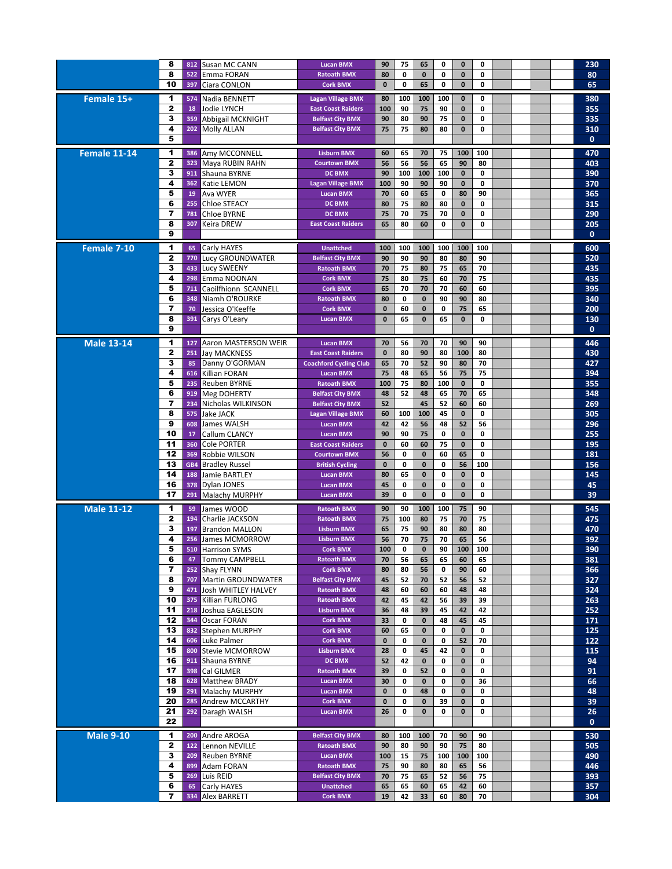|                   | 8            | 812        | Susan MC CANN                         | <b>Lucan BMX</b>                                 | 90               | 75       | 65                | 0                 | $\mathbf{0}$            | 0       |  |  | 230          |
|-------------------|--------------|------------|---------------------------------------|--------------------------------------------------|------------------|----------|-------------------|-------------------|-------------------------|---------|--|--|--------------|
|                   | 8            | 522        | Emma FORAN                            | <b>Ratoath BMX</b>                               | 80               | 0        | $\mathbf 0$       | 0                 | $\mathbf{0}$            | 0       |  |  | 80           |
|                   | 10           | 397        | Ciara CONLON                          | <b>Cork BMX</b>                                  | $\bf{0}$         | 0        | 65                | 0                 | $\mathbf{0}$            | 0       |  |  | 65           |
| Female 15+        | 1            | 574        | Nadia BENNETT                         | <b>Lagan Village BMX</b>                         | 80               | 100      | 100               | 100               | 0                       | 0       |  |  | 380          |
|                   | $\mathbf{2}$ | 18         | <b>Jodie LYNCH</b>                    | <b>East Coast Raiders</b>                        | 100              | 90       | 75                | 90                | $\mathbf{0}$            | 0       |  |  | 355          |
|                   | 3            | 359        | Abbigail MCKNIGHT                     | <b>Belfast City BMX</b>                          | 90               | 80       | 90                | 75                | 0                       | 0       |  |  | 335          |
|                   | 4            | 202        | <b>Molly ALLAN</b>                    | <b>Belfast City BMX</b>                          | 75               | 75       | 80                | 80                | $\mathbf{0}$            | 0       |  |  | 310          |
|                   | 5            |            |                                       |                                                  |                  |          |                   |                   |                         |         |  |  | $\mathbf{0}$ |
| Female 11-14      | 1            | 386        | Amy MCCONNELL                         | <b>Lisburn BMX</b>                               | 60               | 65       | 70                | 75                | 100                     | 100     |  |  | 470          |
|                   | 2            | 323        | Maya RUBIN RAHN                       | <b>Courtown BMX</b>                              | 56               | 56       | 56                | 65                | 90                      | 80      |  |  | 403          |
|                   | 3            | 911        | Shauna BYRNE                          | <b>DC BMX</b>                                    | 90               | 100      | 100               | 100               | $\mathbf{0}$            | 0       |  |  | 390          |
|                   | 4            | 362        | Katie LEMON                           | <b>Lagan Village BMX</b>                         | 100              | 90       | 90                | 90                | $\mathbf{0}$            | 0       |  |  | 370          |
|                   | 5            | 19         | Ava WYER                              | <b>Lucan BMX</b>                                 | 70               | 60       | 65                | 0                 | 80                      | 90      |  |  | 365          |
|                   | 6            | 255        | <b>Chloe STEACY</b>                   | <b>DC BMX</b>                                    | 80               | 75       | 80                | 80                | $\mathbf{0}$            | 0       |  |  | 315          |
|                   | 7            | 781        | <b>Chloe BYRNE</b>                    | <b>DC BMX</b>                                    | 75               | 70       | 75                | 70                | $\mathbf{0}$            | 0       |  |  | 290          |
|                   | 8            | 307        | <b>Keira DREW</b>                     | <b>East Coast Raiders</b>                        | 65               | 80       | 60                | 0                 | $\mathbf{0}$            | 0       |  |  | 205          |
|                   | 9            |            |                                       |                                                  |                  |          |                   |                   |                         |         |  |  | $\mathbf{0}$ |
| Female 7-10       | 1            | 65         | Carly HAYES                           | <b>Unattched</b>                                 | 100              | 100      | 100               | 100               | 100                     | 100     |  |  | 600          |
|                   | $\mathbf{2}$ | 770        | Lucy GROUNDWATER                      | <b>Belfast City BMX</b>                          | 90               | 90       | 90                | 80                | 80                      | 90      |  |  | 520          |
|                   | 3            | 433        | <b>Lucy SWEENY</b>                    | <b>Ratoath BMX</b>                               | 70               | 75       | 80                | 75                | 65                      | 70      |  |  | 435          |
|                   | 4            | 298        | Emma NOONAN                           | <b>Cork BMX</b>                                  | 75               | 80       | 75                | 60                | 70                      | 75      |  |  | 435          |
|                   | 5            | 711        | Caoilfhionn SCANNELL                  | <b>Cork BMX</b>                                  | 65               | 70       | 70                | 70                | 60                      | 60      |  |  | 395          |
|                   | 6            | 348        | Niamh O'ROURKE                        | <b>Ratoath BMX</b>                               | 80               | 0        | $\mathbf{0}$      | 90                | 90                      | 80      |  |  | 340          |
|                   | 7            | 70         | Jessica O'Keeffe                      | <b>Cork BMX</b>                                  | $\bf{0}$         | 60       | $\mathbf{0}$      | 0                 | 75                      | 65      |  |  | 200          |
|                   | 8            | 391        | Carys O'Leary                         | <b>Lucan BMX</b>                                 | $\mathbf{0}$     | 65       | $\mathbf{0}$      | 65                | $\mathbf{0}$            | 0       |  |  | 130          |
|                   | 9            |            |                                       |                                                  |                  |          |                   |                   |                         |         |  |  | $\mathbf{0}$ |
| <b>Male 13-14</b> | 1            | 127        | Aaron MASTERSON WEIR                  | <b>Lucan BMX</b>                                 | 70               | 56       | 70                | 70                | 90                      | 90      |  |  | 446          |
|                   | 2            | 251        | <b>Jay MACKNESS</b>                   | <b>East Coast Raiders</b>                        | $\mathbf{0}$     | 80       | 90                | 80                | 100                     | 80      |  |  | 430          |
|                   | 3            | 85         | Danny O'GORMAN                        | <b>Coachford Cycling Club</b>                    | 65               | 70       | 52                | 90                | 80                      | 70      |  |  | 427          |
|                   | 4            | 616        | Killian FORAN                         | <b>Lucan BMX</b>                                 | 75               | 48       | 65                | 56                | 75                      | 75      |  |  | 394          |
|                   | 5            | 235        | <b>Reuben BYRNE</b>                   | <b>Ratoath BMX</b>                               | 100              | 75       | 80                | 100               | $\bf{0}$                | 0       |  |  | 355          |
|                   | 6            | 919        | <b>Meg DOHERTY</b>                    | <b>Belfast City BMX</b>                          | 48               | 52       | 48                | 65                | 70                      | 65      |  |  | 348          |
|                   | 7            | 234        | Nicholas WILKINSON                    | <b>Belfast City BMX</b>                          | 52               |          | 45                | 52                | 60                      | 60      |  |  | 269          |
|                   | 8            | 575        | Jake JACK                             | <b>Lagan Village BMX</b>                         | 60               | 100      | 100               | 45                | $\mathbf{0}$            | 0       |  |  | 305          |
|                   | 9<br>10      | 608        | James WALSH                           | <b>Lucan BMX</b>                                 | 42               | 42       | 56                | 48<br>$\mathbf 0$ | 52                      | 56      |  |  | 296          |
|                   | 11           | 17<br>360  | Callum CLANCY<br><b>Cole PORTER</b>   | <b>Lucan BMX</b>                                 | 90<br>$\bf{0}$   | 90<br>60 | 75<br>60          | 75                | $\bf{0}$<br>$\mathbf 0$ | 0<br>0  |  |  | 255<br>195   |
|                   | 12           | 369        | Robbie WILSON                         | <b>East Coast Raiders</b><br><b>Courtown BMX</b> | 56               | 0        | $\mathbf{0}$      | 60                | 65                      | 0       |  |  | 181          |
|                   | 13           | GB4        | <b>Bradley Russel</b>                 | <b>British Cycling</b>                           | $\mathbf{0}$     | 0        | $\mathbf{0}$      | 0                 | 56                      | 100     |  |  | 156          |
|                   | 14           | 188        | Jamie BARTLEY                         | <b>Lucan BMX</b>                                 | 80               | 65       | $\mathbf{0}$      | 0                 | 0                       | 0       |  |  | 145          |
|                   | 16           | 378        | Dylan JONES                           | <b>Lucan BMX</b>                                 | 45               | 0        | $\mathbf{0}$      | 0                 | $\mathbf{0}$            | 0       |  |  | 45           |
|                   | 17           | 291        | Malachy MURPHY                        | <b>Lucan BMX</b>                                 | 39               | 0        | $\mathbf{0}$      | 0                 | 0                       | 0       |  |  | 39           |
| <b>Male 11-12</b> | 1            | 59         | James WOOD                            | <b>Ratoath BMX</b>                               | 90               | 90       | 100               | 100               | 75                      | 90      |  |  | 545          |
|                   | $\mathbf{z}$ | 194        | Charlie JACKSON                       | <b>Ratoath BMX</b>                               | 75               | 100      | 80                | 75                | 70                      | 75      |  |  | 475          |
|                   | 3            | 197        | <b>Brandon MALLON</b>                 | <b>Lisburn BMX</b>                               | 65               | 75       | 90                | 80                | 80                      | 80      |  |  | 470          |
|                   | 4            |            | 256 James MCMORROW                    | <b>Lisburn BMX</b>                               | 56               | 70       | 75                | 70                | 65                      | 56      |  |  | 392          |
|                   | 5            |            | 510 Harrison SYMS                     | <b>Cork BMX</b>                                  | $\overline{100}$ | 0        | $\pmb{0}$         | 90                | 100                     | 100     |  |  | 390          |
|                   | 6            | 47         | <b>Tommy CAMPBELL</b>                 | <b>Ratoath BMX</b>                               | 70               | 56       | 65                | 65                | 60                      | 65      |  |  | 381          |
|                   | 7            |            | 252 Shay FLYNN                        | <b>Cork BMX</b>                                  | 80               | 80       | 56                | 0                 | 90                      | 60      |  |  | 366          |
|                   | 8            | 707        | <b>Martin GROUNDWATER</b>             | <b>Belfast City BMX</b>                          | 45               | 52       | 70                | 52                | 56                      | 52      |  |  | 327          |
|                   | 9            | 471        | <b>Josh WHITLEY HALVEY</b>            | <b>Ratoath BMX</b>                               | 48               | 60       | 60                | 60                | 48                      | 48      |  |  | 324          |
|                   | 10           | 375        | <b>Killian FURLONG</b>                | <b>Ratoath BMX</b>                               | 42               | 45       | 42                | 56                | 39                      | 39      |  |  | 263          |
|                   | 11<br>12     | 218<br>344 | Joshua EAGLESON<br><b>Oscar FORAN</b> | <b>Lisburn BMX</b><br><b>Cork BMX</b>            | 36               | 48       | 39<br>$\mathbf 0$ | 45                | 42                      | 42      |  |  | 252          |
|                   | 13           |            | 832 Stephen MURPHY                    | <b>Cork BMX</b>                                  | 33<br>60         | 0<br>65  | $\bf{0}$          | 48<br>0           | 45<br>$\mathbf 0$       | 45<br>0 |  |  | 171<br>125   |
|                   | 14           | 606        | Luke Palmer                           | <b>Cork BMX</b>                                  | $\bf{0}$         | 0        | 0                 | 0                 | 52                      | 70      |  |  | 122          |
|                   | 15           | 800        | <b>Stevie MCMORROW</b>                | <b>Lisburn BMX</b>                               | 28               | 0        | 45                | 42                | $\mathbf 0$             | 0       |  |  | 115          |
|                   | 16           | 911        | Shauna BYRNE                          | <b>DC BMX</b>                                    | 52               | 42       | $\bf{0}$          | 0                 | $\bf{0}$                | 0       |  |  | 94           |
|                   | 17           | 398        | Cal GILMER                            | <b>Ratoath BMX</b>                               | 39               | 0        | 52                | 0                 | 0                       | 0       |  |  | 91           |
|                   | 18           | 628        | Matthew BRADY                         | <b>Lucan BMX</b>                                 | 30               | 0        | $\bf{0}$          | 0                 | $\mathbf 0$             | 36      |  |  | 66           |
|                   | 19           | 291        | Malachy MURPHY                        | <b>Lucan BMX</b>                                 | $\bf{0}$         | 0        | 48                | 0                 | 0                       | 0       |  |  | 48           |
|                   | 20           | 285        | Andrew MCCARTHY                       | <b>Cork BMX</b>                                  | $\bf{0}$         | 0        | $\mathbf 0$       | 39                | $\pmb{0}$               | 0       |  |  | 39           |
|                   | 21           | 292        | Daragh WALSH                          | <b>Lucan BMX</b>                                 | 26               | 0        | 0                 | 0                 | 0                       | 0       |  |  | 26           |
|                   | 22           |            |                                       |                                                  |                  |          |                   |                   |                         |         |  |  | 0            |
| <b>Male 9-10</b>  | 1            |            | 200 Andre AROGA                       | <b>Belfast City BMX</b>                          | 80               | 100      | 100               | 70                | 90                      | 90      |  |  | 530          |
|                   | $\mathbf{z}$ | 122        | Lennon NEVILLE                        | <b>Ratoath BMX</b>                               | 90               | 80       | 90                | 90                | 75                      | 80      |  |  | 505          |
|                   | 3            | 209        | <b>Reuben BYRNE</b>                   | <b>Lucan BMX</b>                                 | 100              | 15       | 75                | 100               | 100                     | 100     |  |  | 490          |
|                   | 4            | 899        | Adam FORAN                            | <b>Ratoath BMX</b>                               | 75               | 90       | 80                | 80                | 65                      | 56      |  |  | 446          |
|                   | 5            | 269        | Luis REID                             | <b>Belfast City BMX</b>                          | 70               | 75       | 65                | 52                | 56                      | 75      |  |  | 393          |
|                   | 6            | 65         | Carly HAYES                           | <b>Unattched</b>                                 | 65               | 65       | 60                | 65                | 42                      | 60      |  |  | 357          |
|                   | 7            |            | 334 Alex BARRETT                      | <b>Cork BMX</b>                                  | 19               | 42       | 33                | 60                | 80                      | 70      |  |  | 304          |